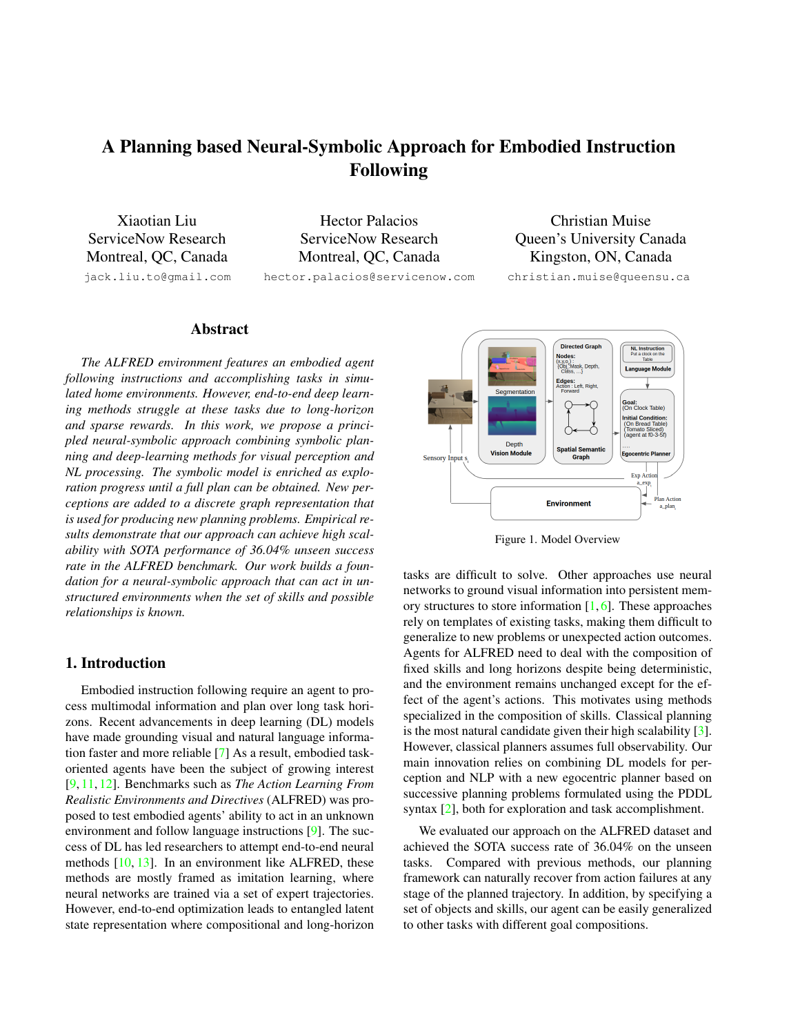# <span id="page-0-1"></span>A Planning based Neural-Symbolic Approach for Embodied Instruction Following

Xiaotian Liu ServiceNow Research Montreal, QC, Canada jack.liu.to@gmail.com

Hector Palacios ServiceNow Research Montreal, QC, Canada

hector.palacios@servicenow.com

Christian Muise Queen's University Canada Kingston, ON, Canada

christian.muise@queensu.ca

## Abstract

*The ALFRED environment features an embodied agent following instructions and accomplishing tasks in simulated home environments. However, end-to-end deep learning methods struggle at these tasks due to long-horizon and sparse rewards. In this work, we propose a principled neural-symbolic approach combining symbolic planning and deep-learning methods for visual perception and NL processing. The symbolic model is enriched as exploration progress until a full plan can be obtained. New perceptions are added to a discrete graph representation that is used for producing new planning problems. Empirical results demonstrate that our approach can achieve high scalability with SOTA performance of 36.04% unseen success rate in the ALFRED benchmark. Our work builds a foundation for a neural-symbolic approach that can act in unstructured environments when the set of skills and possible relationships is known.*

## 1. Introduction

Embodied instruction following require an agent to process multimodal information and plan over long task horizons. Recent advancements in deep learning (DL) models have made grounding visual and natural language information faster and more reliable [\[7\]](#page-2-0) As a result, embodied taskoriented agents have been the subject of growing interest [\[9,](#page-2-1) [11,](#page-2-2) [12\]](#page-2-3). Benchmarks such as *The Action Learning From Realistic Environments and Directives* (ALFRED) was proposed to test embodied agents' ability to act in an unknown environment and follow language instructions [\[9\]](#page-2-1). The success of DL has led researchers to attempt end-to-end neural methods [\[10,](#page-2-4) [13\]](#page-2-5). In an environment like ALFRED, these methods are mostly framed as imitation learning, where neural networks are trained via a set of expert trajectories. However, end-to-end optimization leads to entangled latent state representation where compositional and long-horizon

<span id="page-0-0"></span>

Figure 1. Model Overview

tasks are difficult to solve. Other approaches use neural networks to ground visual information into persistent memory structures to store information  $[1, 6]$  $[1, 6]$  $[1, 6]$ . These approaches rely on templates of existing tasks, making them difficult to generalize to new problems or unexpected action outcomes. Agents for ALFRED need to deal with the composition of fixed skills and long horizons despite being deterministic, and the environment remains unchanged except for the effect of the agent's actions. This motivates using methods specialized in the composition of skills. Classical planning is the most natural candidate given their high scalability [\[3\]](#page-2-8). However, classical planners assumes full observability. Our main innovation relies on combining DL models for perception and NLP with a new egocentric planner based on successive planning problems formulated using the PDDL syntax [\[2\]](#page-2-9), both for exploration and task accomplishment.

We evaluated our approach on the ALFRED dataset and achieved the SOTA success rate of 36.04% on the unseen tasks. Compared with previous methods, our planning framework can naturally recover from action failures at any stage of the planned trajectory. In addition, by specifying a set of objects and skills, our agent can be easily generalized to other tasks with different goal compositions.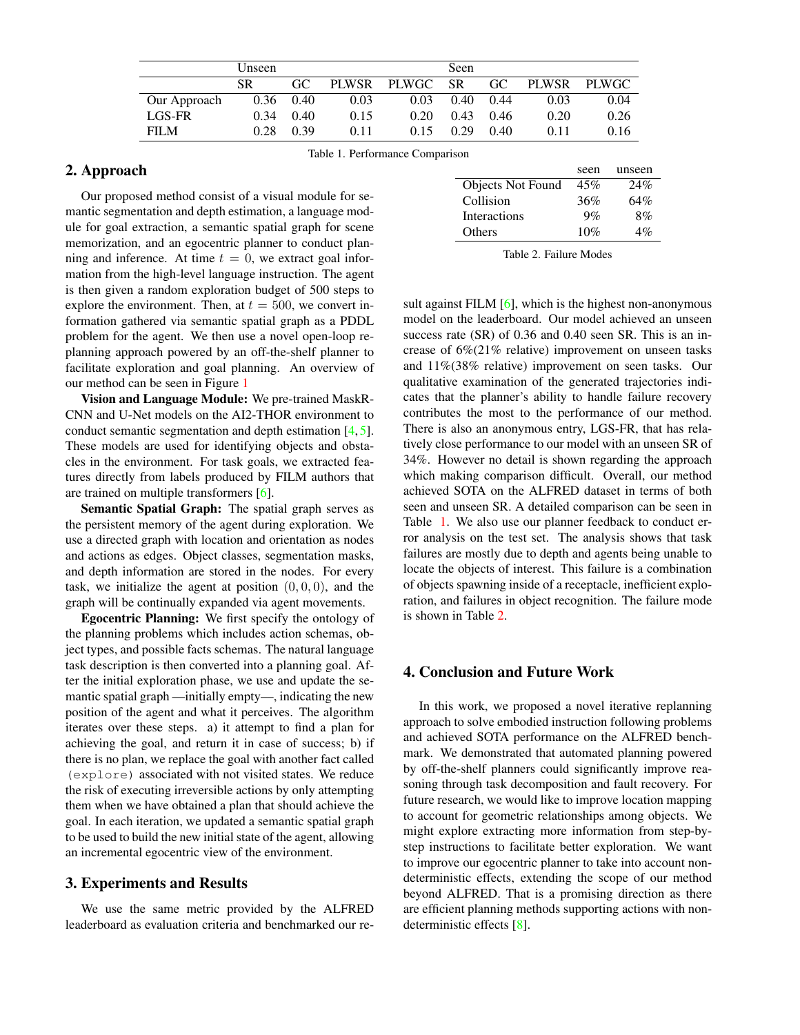<span id="page-1-0"></span>

|              | Unseen |      |      |             | Seen      |      |              |              |
|--------------|--------|------|------|-------------|-----------|------|--------------|--------------|
|              | SR.    | GC.  |      | PLWSR PLWGC | <b>SR</b> | GC.  | <b>PLWSR</b> | <b>PLWGC</b> |
| Our Approach | 0.36   | 0.40 | 0.03 | 0.03        | 0.40      | 0.44 | 0.03         | 0.04         |
| LGS-FR       | 0.34   | 0.40 | 0.15 | 0.20        | 0.43      | 0.46 | 0.20         | 0.26         |
| <b>FILM</b>  | 0.28   | 0.39 | 0.11 | 0.15        | 0.29      | 0.40 | 0.11         | 0.16         |

<span id="page-1-2"></span>2. Approach

Our proposed method consist of a visual module for semantic segmentation and depth estimation, a language module for goal extraction, a semantic spatial graph for scene memorization, and an egocentric planner to conduct planning and inference. At time  $t = 0$ , we extract goal information from the high-level language instruction. The agent is then given a random exploration budget of 500 steps to explore the environment. Then, at  $t = 500$ , we convert information gathered via semantic spatial graph as a PDDL problem for the agent. We then use a novel open-loop replanning approach powered by an off-the-shelf planner to facilitate exploration and goal planning. An overview of our method can be seen in Figure [1](#page-0-0)

Vision and Language Module: We pre-trained MaskR-CNN and U-Net models on the AI2-THOR environment to conduct semantic segmentation and depth estimation [\[4,](#page-2-10) [5\]](#page-2-11). These models are used for identifying objects and obstacles in the environment. For task goals, we extracted features directly from labels produced by FILM authors that are trained on multiple transformers [\[6\]](#page-2-7).

Semantic Spatial Graph: The spatial graph serves as the persistent memory of the agent during exploration. We use a directed graph with location and orientation as nodes and actions as edges. Object classes, segmentation masks, and depth information are stored in the nodes. For every task, we initialize the agent at position  $(0, 0, 0)$ , and the graph will be continually expanded via agent movements.

Egocentric Planning: We first specify the ontology of the planning problems which includes action schemas, object types, and possible facts schemas. The natural language task description is then converted into a planning goal. After the initial exploration phase, we use and update the semantic spatial graph —initially empty—, indicating the new position of the agent and what it perceives. The algorithm iterates over these steps. a) it attempt to find a plan for achieving the goal, and return it in case of success; b) if there is no plan, we replace the goal with another fact called (explore) associated with not visited states. We reduce the risk of executing irreversible actions by only attempting them when we have obtained a plan that should achieve the goal. In each iteration, we updated a semantic spatial graph to be used to build the new initial state of the agent, allowing an incremental egocentric view of the environment.

#### 3. Experiments and Results

We use the same metric provided by the ALFRED leaderboard as evaluation criteria and benchmarked our re-

<span id="page-1-1"></span>

|                          | seen  | unseen |
|--------------------------|-------|--------|
| <b>Objects Not Found</b> | 45%   | 24%    |
| Collision                | 36%   | 64%    |
| <b>Interactions</b>      | $9\%$ | 8%     |
| Others                   | 10%   | $4\%$  |

Table 2. Failure Modes

sult against FILM [\[6\]](#page-2-7), which is the highest non-anonymous model on the leaderboard. Our model achieved an unseen success rate (SR) of 0.36 and 0.40 seen SR. This is an increase of 6%(21% relative) improvement on unseen tasks and 11%(38% relative) improvement on seen tasks. Our qualitative examination of the generated trajectories indicates that the planner's ability to handle failure recovery contributes the most to the performance of our method. There is also an anonymous entry, LGS-FR, that has relatively close performance to our model with an unseen SR of 34%. However no detail is shown regarding the approach which making comparison difficult. Overall, our method achieved SOTA on the ALFRED dataset in terms of both seen and unseen SR. A detailed comparison can be seen in Table [1.](#page-1-0) We also use our planner feedback to conduct error analysis on the test set. The analysis shows that task failures are mostly due to depth and agents being unable to locate the objects of interest. This failure is a combination of objects spawning inside of a receptacle, inefficient exploration, and failures in object recognition. The failure mode is shown in Table [2.](#page-1-1)

#### 4. Conclusion and Future Work

In this work, we proposed a novel iterative replanning approach to solve embodied instruction following problems and achieved SOTA performance on the ALFRED benchmark. We demonstrated that automated planning powered by off-the-shelf planners could significantly improve reasoning through task decomposition and fault recovery. For future research, we would like to improve location mapping to account for geometric relationships among objects. We might explore extracting more information from step-bystep instructions to facilitate better exploration. We want to improve our egocentric planner to take into account nondeterministic effects, extending the scope of our method beyond ALFRED. That is a promising direction as there are efficient planning methods supporting actions with nondeterministic effects [\[8\]](#page-2-12).